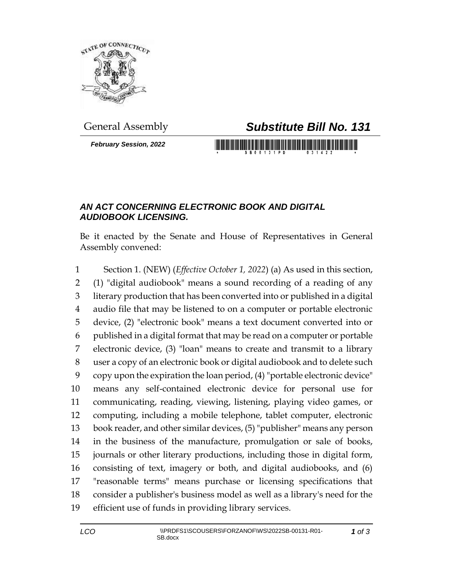

*February Session, 2022*

## General Assembly *Substitute Bill No. 131*

## *AN ACT CONCERNING ELECTRONIC BOOK AND DIGITAL AUDIOBOOK LICENSING.*

Be it enacted by the Senate and House of Representatives in General Assembly convened:

 Section 1. (NEW) (*Effective October 1, 2022*) (a) As used in this section, (1) "digital audiobook" means a sound recording of a reading of any literary production that has been converted into or published in a digital audio file that may be listened to on a computer or portable electronic device, (2) "electronic book" means a text document converted into or published in a digital format that may be read on a computer or portable electronic device, (3) "loan" means to create and transmit to a library user a copy of an electronic book or digital audiobook and to delete such copy upon the expiration the loan period, (4) "portable electronic device" means any self-contained electronic device for personal use for communicating, reading, viewing, listening, playing video games, or computing, including a mobile telephone, tablet computer, electronic book reader, and other similar devices, (5) "publisher" means any person in the business of the manufacture, promulgation or sale of books, journals or other literary productions, including those in digital form, consisting of text, imagery or both, and digital audiobooks, and (6) "reasonable terms" means purchase or licensing specifications that consider a publisher's business model as well as a library's need for the efficient use of funds in providing library services.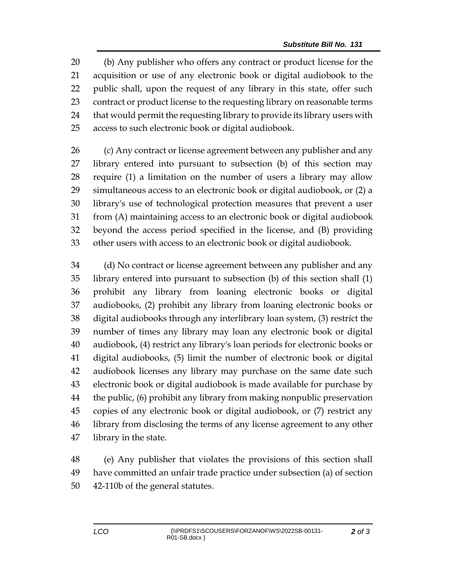(b) Any publisher who offers any contract or product license for the acquisition or use of any electronic book or digital audiobook to the public shall, upon the request of any library in this state, offer such contract or product license to the requesting library on reasonable terms that would permit the requesting library to provide its library users with access to such electronic book or digital audiobook.

 (c) Any contract or license agreement between any publisher and any library entered into pursuant to subsection (b) of this section may require (1) a limitation on the number of users a library may allow simultaneous access to an electronic book or digital audiobook, or (2) a library's use of technological protection measures that prevent a user from (A) maintaining access to an electronic book or digital audiobook beyond the access period specified in the license, and (B) providing other users with access to an electronic book or digital audiobook.

 (d) No contract or license agreement between any publisher and any library entered into pursuant to subsection (b) of this section shall (1) prohibit any library from loaning electronic books or digital audiobooks, (2) prohibit any library from loaning electronic books or digital audiobooks through any interlibrary loan system, (3) restrict the number of times any library may loan any electronic book or digital audiobook, (4) restrict any library's loan periods for electronic books or digital audiobooks, (5) limit the number of electronic book or digital audiobook licenses any library may purchase on the same date such electronic book or digital audiobook is made available for purchase by the public, (6) prohibit any library from making nonpublic preservation copies of any electronic book or digital audiobook, or (7) restrict any library from disclosing the terms of any license agreement to any other library in the state.

 (e) Any publisher that violates the provisions of this section shall have committed an unfair trade practice under subsection (a) of section 42-110b of the general statutes.